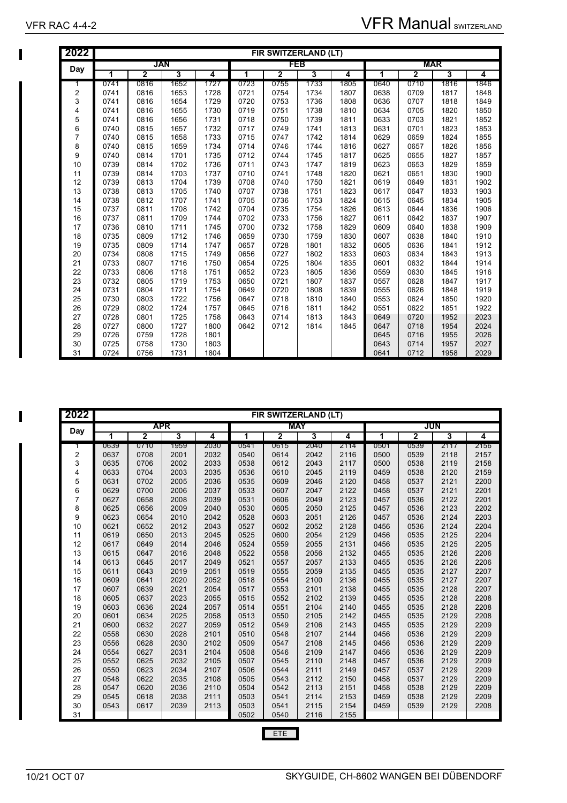| 2022           |      |                |      |      |      | FIR SWITZERLAND (LT)    |      |      |      |                |      |      |
|----------------|------|----------------|------|------|------|-------------------------|------|------|------|----------------|------|------|
| Day            |      |                | JAN  |      |      | FEB                     |      |      |      | <b>MAR</b>     |      |      |
|                | 1    | $\overline{2}$ | 3    | 4    | 1    | $\overline{\mathbf{2}}$ | 3    | 4    | 1    | $\overline{2}$ | 3    | 4    |
| 1              | 0741 | 0816           | 1652 | 1727 | 0723 | 0755                    | 1733 | 1805 | 0640 | 0710           | 1816 | 1846 |
| $\overline{2}$ | 0741 | 0816           | 1653 | 1728 | 0721 | 0754                    | 1734 | 1807 | 0638 | 0709           | 1817 | 1848 |
| 3              | 0741 | 0816           | 1654 | 1729 | 0720 | 0753                    | 1736 | 1808 | 0636 | 0707           | 1818 | 1849 |
| 4              | 0741 | 0816           | 1655 | 1730 | 0719 | 0751                    | 1738 | 1810 | 0634 | 0705           | 1820 | 1850 |
| 5              | 0741 | 0816           | 1656 | 1731 | 0718 | 0750                    | 1739 | 1811 | 0633 | 0703           | 1821 | 1852 |
| 6              | 0740 | 0815           | 1657 | 1732 | 0717 | 0749                    | 1741 | 1813 | 0631 | 0701           | 1823 | 1853 |
| 7              | 0740 | 0815           | 1658 | 1733 | 0715 | 0747                    | 1742 | 1814 | 0629 | 0659           | 1824 | 1855 |
| 8              | 0740 | 0815           | 1659 | 1734 | 0714 | 0746                    | 1744 | 1816 | 0627 | 0657           | 1826 | 1856 |
| 9              | 0740 | 0814           | 1701 | 1735 | 0712 | 0744                    | 1745 | 1817 | 0625 | 0655           | 1827 | 1857 |
| 10             | 0739 | 0814           | 1702 | 1736 | 0711 | 0743                    | 1747 | 1819 | 0623 | 0653           | 1829 | 1859 |
| 11             | 0739 | 0814           | 1703 | 1737 | 0710 | 0741                    | 1748 | 1820 | 0621 | 0651           | 1830 | 1900 |
| 12             | 0739 | 0813           | 1704 | 1739 | 0708 | 0740                    | 1750 | 1821 | 0619 | 0649           | 1831 | 1902 |
| 13             | 0738 | 0813           | 1705 | 1740 | 0707 | 0738                    | 1751 | 1823 | 0617 | 0647           | 1833 | 1903 |
| 14             | 0738 | 0812           | 1707 | 1741 | 0705 | 0736                    | 1753 | 1824 | 0615 | 0645           | 1834 | 1905 |
| 15             | 0737 | 0811           | 1708 | 1742 | 0704 | 0735                    | 1754 | 1826 | 0613 | 0644           | 1836 | 1906 |
| 16             | 0737 | 0811           | 1709 | 1744 | 0702 | 0733                    | 1756 | 1827 | 0611 | 0642           | 1837 | 1907 |
| 17             | 0736 | 0810           | 1711 | 1745 | 0700 | 0732                    | 1758 | 1829 | 0609 | 0640           | 1838 | 1909 |
| 18             | 0735 | 0809           | 1712 | 1746 | 0659 | 0730                    | 1759 | 1830 | 0607 | 0638           | 1840 | 1910 |
| 19             | 0735 | 0809           | 1714 | 1747 | 0657 | 0728                    | 1801 | 1832 | 0605 | 0636           | 1841 | 1912 |
| 20             | 0734 | 0808           | 1715 | 1749 | 0656 | 0727                    | 1802 | 1833 | 0603 | 0634           | 1843 | 1913 |
| 21             | 0733 | 0807           | 1716 | 1750 | 0654 | 0725                    | 1804 | 1835 | 0601 | 0632           | 1844 | 1914 |
| 22             | 0733 | 0806           | 1718 | 1751 | 0652 | 0723                    | 1805 | 1836 | 0559 | 0630           | 1845 | 1916 |
| 23             | 0732 | 0805           | 1719 | 1753 | 0650 | 0721                    | 1807 | 1837 | 0557 | 0628           | 1847 | 1917 |
| 24             | 0731 | 0804           | 1721 | 1754 | 0649 | 0720                    | 1808 | 1839 | 0555 | 0626           | 1848 | 1919 |
| 25             | 0730 | 0803           | 1722 | 1756 | 0647 | 0718                    | 1810 | 1840 | 0553 | 0624           | 1850 | 1920 |
| 26             | 0729 | 0802           | 1724 | 1757 | 0645 | 0716                    | 1811 | 1842 | 0551 | 0622           | 1851 | 1922 |
| 27             | 0728 | 0801           | 1725 | 1758 | 0643 | 0714                    | 1813 | 1843 | 0649 | 0720           | 1952 | 2023 |
| 28             | 0727 | 0800           | 1727 | 1800 | 0642 | 0712                    | 1814 | 1845 | 0647 | 0718           | 1954 | 2024 |
| 29             | 0726 | 0759           | 1728 | 1801 |      |                         |      |      | 0645 | 0716           | 1955 | 2026 |
| 30             | 0725 | 0758           | 1730 | 1803 |      |                         |      |      | 0643 | 0714           | 1957 | 2027 |
| 31             | 0724 | 0756           | 1731 | 1804 |      |                         |      |      | 0641 | 0712           | 1958 | 2029 |

| 2022 |      |      |      |      |      | FIR SWITZERLAND (LT) |      |      |      |      |      |      |
|------|------|------|------|------|------|----------------------|------|------|------|------|------|------|
|      |      |      | APR  |      |      | MAY                  |      |      |      |      | JUN  |      |
| Day  | 1    | 2    | 3    | 4    | 1    | 2                    | 3    | 4    | 1    | 2    | 3    | 4    |
|      | 0639 | 0710 | 1959 | 2030 | 0541 | 0615                 | 2040 | 2114 | 0501 | 0539 | 2117 | 2156 |
| 2    | 0637 | 0708 | 2001 | 2032 | 0540 | 0614                 | 2042 | 2116 | 0500 | 0539 | 2118 | 2157 |
| 3    | 0635 | 0706 | 2002 | 2033 | 0538 | 0612                 | 2043 | 2117 | 0500 | 0538 | 2119 | 2158 |
| 4    | 0633 | 0704 | 2003 | 2035 | 0536 | 0610                 | 2045 | 2119 | 0459 | 0538 | 2120 | 2159 |
| 5    | 0631 | 0702 | 2005 | 2036 | 0535 | 0609                 | 2046 | 2120 | 0458 | 0537 | 2121 | 2200 |
| 6    | 0629 | 0700 | 2006 | 2037 | 0533 | 0607                 | 2047 | 2122 | 0458 | 0537 | 2121 | 2201 |
| 7    | 0627 | 0658 | 2008 | 2039 | 0531 | 0606                 | 2049 | 2123 | 0457 | 0536 | 2122 | 2201 |
| 8    | 0625 | 0656 | 2009 | 2040 | 0530 | 0605                 | 2050 | 2125 | 0457 | 0536 | 2123 | 2202 |
| 9    | 0623 | 0654 | 2010 | 2042 | 0528 | 0603                 | 2051 | 2126 | 0457 | 0536 | 2124 | 2203 |
| 10   | 0621 | 0652 | 2012 | 2043 | 0527 | 0602                 | 2052 | 2128 | 0456 | 0536 | 2124 | 2204 |
| 11   | 0619 | 0650 | 2013 | 2045 | 0525 | 0600                 | 2054 | 2129 | 0456 | 0535 | 2125 | 2204 |
| 12   | 0617 | 0649 | 2014 | 2046 | 0524 | 0559                 | 2055 | 2131 | 0456 | 0535 | 2125 | 2205 |
| 13   | 0615 | 0647 | 2016 | 2048 | 0522 | 0558                 | 2056 | 2132 | 0455 | 0535 | 2126 | 2206 |
| 14   | 0613 | 0645 | 2017 | 2049 | 0521 | 0557                 | 2057 | 2133 | 0455 | 0535 | 2126 | 2206 |
| 15   | 0611 | 0643 | 2019 | 2051 | 0519 | 0555                 | 2059 | 2135 | 0455 | 0535 | 2127 | 2207 |
| 16   | 0609 | 0641 | 2020 | 2052 | 0518 | 0554                 | 2100 | 2136 | 0455 | 0535 | 2127 | 2207 |
| 17   | 0607 | 0639 | 2021 | 2054 | 0517 | 0553                 | 2101 | 2138 | 0455 | 0535 | 2128 | 2207 |
| 18   | 0605 | 0637 | 2023 | 2055 | 0515 | 0552                 | 2102 | 2139 | 0455 | 0535 | 2128 | 2208 |
| 19   | 0603 | 0636 | 2024 | 2057 | 0514 | 0551                 | 2104 | 2140 | 0455 | 0535 | 2128 | 2208 |
| 20   | 0601 | 0634 | 2025 | 2058 | 0513 | 0550                 | 2105 | 2142 | 0455 | 0535 | 2129 | 2208 |
| 21   | 0600 | 0632 | 2027 | 2059 | 0512 | 0549                 | 2106 | 2143 | 0455 | 0535 | 2129 | 2209 |
| 22   | 0558 | 0630 | 2028 | 2101 | 0510 | 0548                 | 2107 | 2144 | 0456 | 0536 | 2129 | 2209 |
| 23   | 0556 | 0628 | 2030 | 2102 | 0509 | 0547                 | 2108 | 2145 | 0456 | 0536 | 2129 | 2209 |
| 24   | 0554 | 0627 | 2031 | 2104 | 0508 | 0546                 | 2109 | 2147 | 0456 | 0536 | 2129 | 2209 |
| 25   | 0552 | 0625 | 2032 | 2105 | 0507 | 0545                 | 2110 | 2148 | 0457 | 0536 | 2129 | 2209 |
| 26   | 0550 | 0623 | 2034 | 2107 | 0506 | 0544                 | 2111 | 2149 | 0457 | 0537 | 2129 | 2209 |
| 27   | 0548 | 0622 | 2035 | 2108 | 0505 | 0543                 | 2112 | 2150 | 0458 | 0537 | 2129 | 2209 |
| 28   | 0547 | 0620 | 2036 | 2110 | 0504 | 0542                 | 2113 | 2151 | 0458 | 0538 | 2129 | 2209 |
| 29   | 0545 | 0618 | 2038 | 2111 | 0503 | 0541                 | 2114 | 2153 | 0459 | 0538 | 2129 | 2209 |
| 30   | 0543 | 0617 | 2039 | 2113 | 0503 | 0541                 | 2115 | 2154 | 0459 | 0539 | 2129 | 2208 |
| 31   |      |      |      |      | 0502 | 0540                 | 2116 | 2155 |      |      |      |      |
|      |      |      |      |      |      |                      |      |      |      |      |      |      |

## ETE